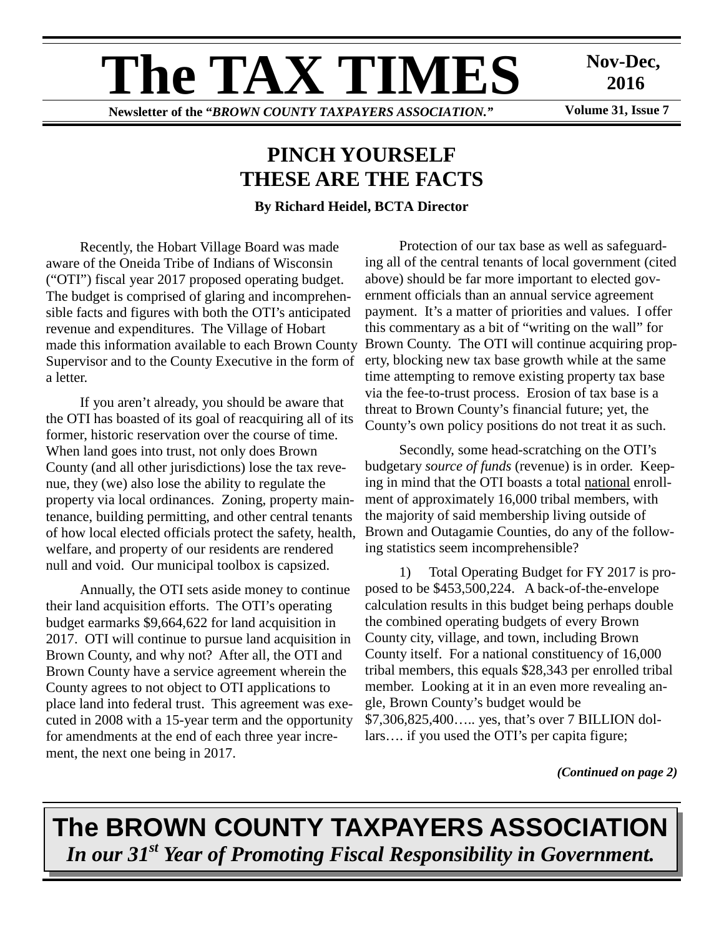# **The TAX TIMES**

**Newsletter of the "***BROWN COUNTY TAXPAYERS ASSOCIATION."* **Volume 31, Issue 7** 

**Nov-Dec, 2016** 

# **PINCH YOURSELF THESE ARE THE FACTS**

**By Richard Heidel, BCTA Director** 

Recently, the Hobart Village Board was made aware of the Oneida Tribe of Indians of Wisconsin ("OTI") fiscal year 2017 proposed operating budget. The budget is comprised of glaring and incomprehensible facts and figures with both the OTI's anticipated revenue and expenditures. The Village of Hobart made this information available to each Brown County Supervisor and to the County Executive in the form of a letter.

If you aren't already, you should be aware that the OTI has boasted of its goal of reacquiring all of its former, historic reservation over the course of time. When land goes into trust, not only does Brown County (and all other jurisdictions) lose the tax revenue, they (we) also lose the ability to regulate the property via local ordinances. Zoning, property maintenance, building permitting, and other central tenants of how local elected officials protect the safety, health, welfare, and property of our residents are rendered null and void. Our municipal toolbox is capsized.

Annually, the OTI sets aside money to continue their land acquisition efforts. The OTI's operating budget earmarks \$9,664,622 for land acquisition in 2017. OTI will continue to pursue land acquisition in Brown County, and why not? After all, the OTI and Brown County have a service agreement wherein the County agrees to not object to OTI applications to place land into federal trust. This agreement was executed in 2008 with a 15-year term and the opportunity for amendments at the end of each three year increment, the next one being in 2017.

Protection of our tax base as well as safeguarding all of the central tenants of local government (cited above) should be far more important to elected government officials than an annual service agreement payment. It's a matter of priorities and values. I offer this commentary as a bit of "writing on the wall" for Brown County. The OTI will continue acquiring property, blocking new tax base growth while at the same time attempting to remove existing property tax base via the fee-to-trust process. Erosion of tax base is a threat to Brown County's financial future; yet, the County's own policy positions do not treat it as such.

Secondly, some head-scratching on the OTI's budgetary *source of funds* (revenue) is in order. Keeping in mind that the OTI boasts a total national enrollment of approximately 16,000 tribal members, with the majority of said membership living outside of Brown and Outagamie Counties, do any of the following statistics seem incomprehensible?

1) Total Operating Budget for FY 2017 is proposed to be \$453,500,224. A back-of-the-envelope calculation results in this budget being perhaps double the combined operating budgets of every Brown County city, village, and town, including Brown County itself. For a national constituency of 16,000 tribal members, this equals \$28,343 per enrolled tribal member. Looking at it in an even more revealing angle, Brown County's budget would be \$7,306,825,400….. yes, that's over 7 BILLION dollars…. if you used the OTI's per capita figure;

*(Continued on page 2)* 

**The BROWN COUNTY TAXPAYERS ASSOCIATION**  *In our 31st Year of Promoting Fiscal Responsibility in Government.*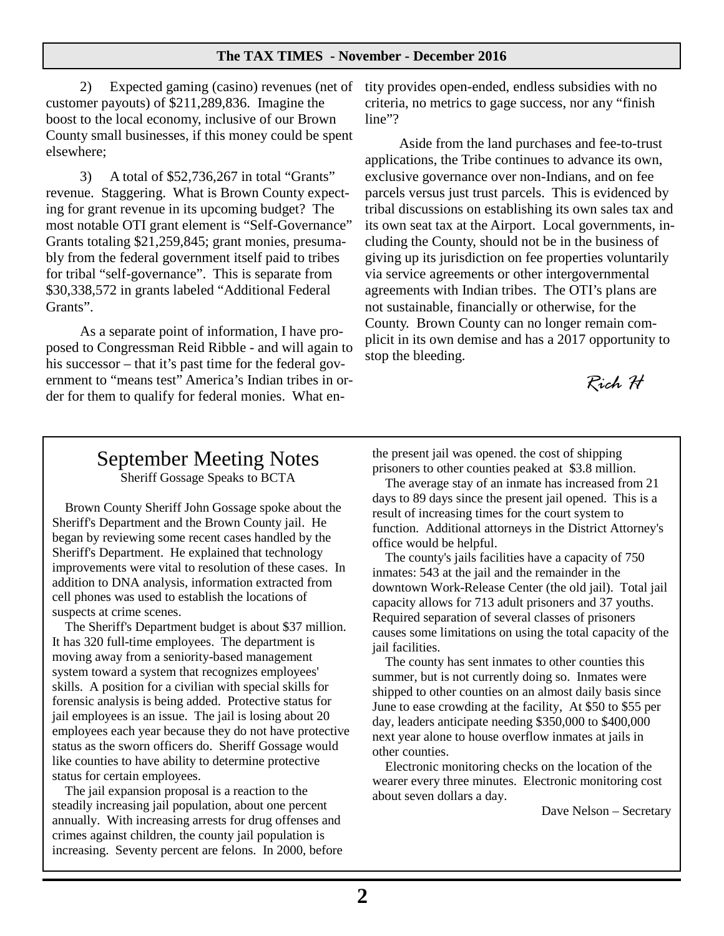2) Expected gaming (casino) revenues (net of customer payouts) of \$211,289,836. Imagine the boost to the local economy, inclusive of our Brown County small businesses, if this money could be spent elsewhere;

3) A total of \$52,736,267 in total "Grants" revenue. Staggering. What is Brown County expecting for grant revenue in its upcoming budget? The most notable OTI grant element is "Self-Governance" Grants totaling \$21,259,845; grant monies, presumably from the federal government itself paid to tribes for tribal "self-governance". This is separate from \$30,338,572 in grants labeled "Additional Federal Grants".

As a separate point of information, I have proposed to Congressman Reid Ribble - and will again to his successor – that it's past time for the federal government to "means test" America's Indian tribes in order for them to qualify for federal monies. What entity provides open-ended, endless subsidies with no criteria, no metrics to gage success, nor any "finish line"?

Aside from the land purchases and fee-to-trust applications, the Tribe continues to advance its own, exclusive governance over non-Indians, and on fee parcels versus just trust parcels. This is evidenced by tribal discussions on establishing its own sales tax and its own seat tax at the Airport. Local governments, including the County, should not be in the business of giving up its jurisdiction on fee properties voluntarily via service agreements or other intergovernmental agreements with Indian tribes. The OTI's plans are not sustainable, financially or otherwise, for the County. Brown County can no longer remain complicit in its own demise and has a 2017 opportunity to stop the bleeding.

*Rich H* 

# September Meeting Notes

Sheriff Gossage Speaks to BCTA

Brown County Sheriff John Gossage spoke about the Sheriff's Department and the Brown County jail. He began by reviewing some recent cases handled by the Sheriff's Department. He explained that technology improvements were vital to resolution of these cases. In addition to DNA analysis, information extracted from cell phones was used to establish the locations of suspects at crime scenes.

The Sheriff's Department budget is about \$37 million. It has 320 full-time employees. The department is moving away from a seniority-based management system toward a system that recognizes employees' skills. A position for a civilian with special skills for forensic analysis is being added. Protective status for jail employees is an issue. The jail is losing about 20 employees each year because they do not have protective status as the sworn officers do. Sheriff Gossage would like counties to have ability to determine protective status for certain employees.

The jail expansion proposal is a reaction to the steadily increasing jail population, about one percent annually. With increasing arrests for drug offenses and crimes against children, the county jail population is increasing. Seventy percent are felons. In 2000, before the present jail was opened. the cost of shipping prisoners to other counties peaked at \$3.8 million.

The average stay of an inmate has increased from 21 days to 89 days since the present jail opened. This is a result of increasing times for the court system to function. Additional attorneys in the District Attorney's office would be helpful.

The county's jails facilities have a capacity of 750 inmates: 543 at the jail and the remainder in the downtown Work-Release Center (the old jail). Total jail capacity allows for 713 adult prisoners and 37 youths. Required separation of several classes of prisoners causes some limitations on using the total capacity of the jail facilities.

The county has sent inmates to other counties this summer, but is not currently doing so. Inmates were shipped to other counties on an almost daily basis since June to ease crowding at the facility, At \$50 to \$55 per day, leaders anticipate needing \$350,000 to \$400,000 next year alone to house overflow inmates at jails in other counties.

Electronic monitoring checks on the location of the wearer every three minutes. Electronic monitoring cost about seven dollars a day.

Dave Nelson – Secretary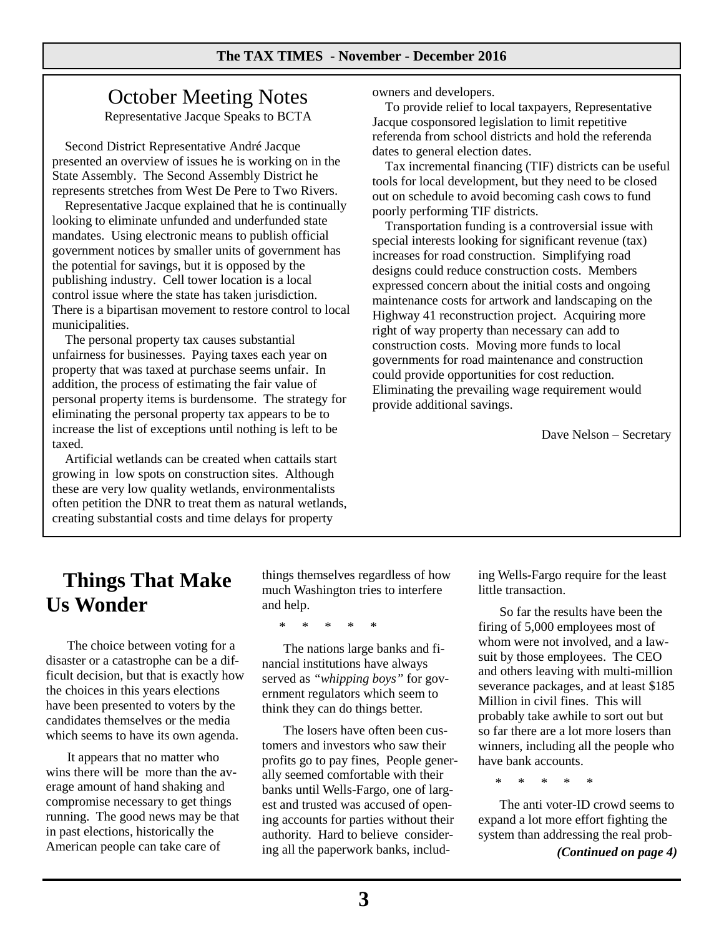## October Meeting Notes

Representative Jacque Speaks to BCTA

Second District Representative André Jacque presented an overview of issues he is working on in the State Assembly. The Second Assembly District he represents stretches from West De Pere to Two Rivers.

Representative Jacque explained that he is continually looking to eliminate unfunded and underfunded state mandates. Using electronic means to publish official government notices by smaller units of government has the potential for savings, but it is opposed by the publishing industry. Cell tower location is a local control issue where the state has taken jurisdiction. There is a bipartisan movement to restore control to local municipalities.

The personal property tax causes substantial unfairness for businesses. Paying taxes each year on property that was taxed at purchase seems unfair. In addition, the process of estimating the fair value of personal property items is burdensome. The strategy for eliminating the personal property tax appears to be to increase the list of exceptions until nothing is left to be taxed.

Artificial wetlands can be created when cattails start growing in low spots on construction sites. Although these are very low quality wetlands, environmentalists often petition the DNR to treat them as natural wetlands, creating substantial costs and time delays for property

owners and developers.

To provide relief to local taxpayers, Representative Jacque cosponsored legislation to limit repetitive referenda from school districts and hold the referenda dates to general election dates.

Tax incremental financing (TIF) districts can be useful tools for local development, but they need to be closed out on schedule to avoid becoming cash cows to fund poorly performing TIF districts.

Transportation funding is a controversial issue with special interests looking for significant revenue (tax) increases for road construction. Simplifying road designs could reduce construction costs. Members expressed concern about the initial costs and ongoing maintenance costs for artwork and landscaping on the Highway 41 reconstruction project. Acquiring more right of way property than necessary can add to construction costs. Moving more funds to local governments for road maintenance and construction could provide opportunities for cost reduction. Eliminating the prevailing wage requirement would provide additional savings.

Dave Nelson – Secretary

# **Things That Make Us Wonder**

 The choice between voting for a disaster or a catastrophe can be a difficult decision, but that is exactly how the choices in this years elections have been presented to voters by the candidates themselves or the media which seems to have its own agenda.

 It appears that no matter who wins there will be more than the average amount of hand shaking and compromise necessary to get things running. The good news may be that in past elections, historically the American people can take care of

things themselves regardless of how much Washington tries to interfere and help.

\* \* \* \* \*

 The nations large banks and financial institutions have always served as *"whipping boys"* for government regulators which seem to think they can do things better.

 The losers have often been customers and investors who saw their profits go to pay fines, People generally seemed comfortable with their banks until Wells-Fargo, one of largest and trusted was accused of opening accounts for parties without their authority. Hard to believe considering all the paperwork banks, including Wells-Fargo require for the least little transaction.

 So far the results have been the firing of 5,000 employees most of whom were not involved, and a lawsuit by those employees. The CEO and others leaving with multi-million severance packages, and at least \$185 Million in civil fines. This will probably take awhile to sort out but so far there are a lot more losers than winners, including all the people who have bank accounts.

\* \* \* \* \*

 The anti voter-ID crowd seems to expand a lot more effort fighting the system than addressing the real prob-

*(Continued on page 4)*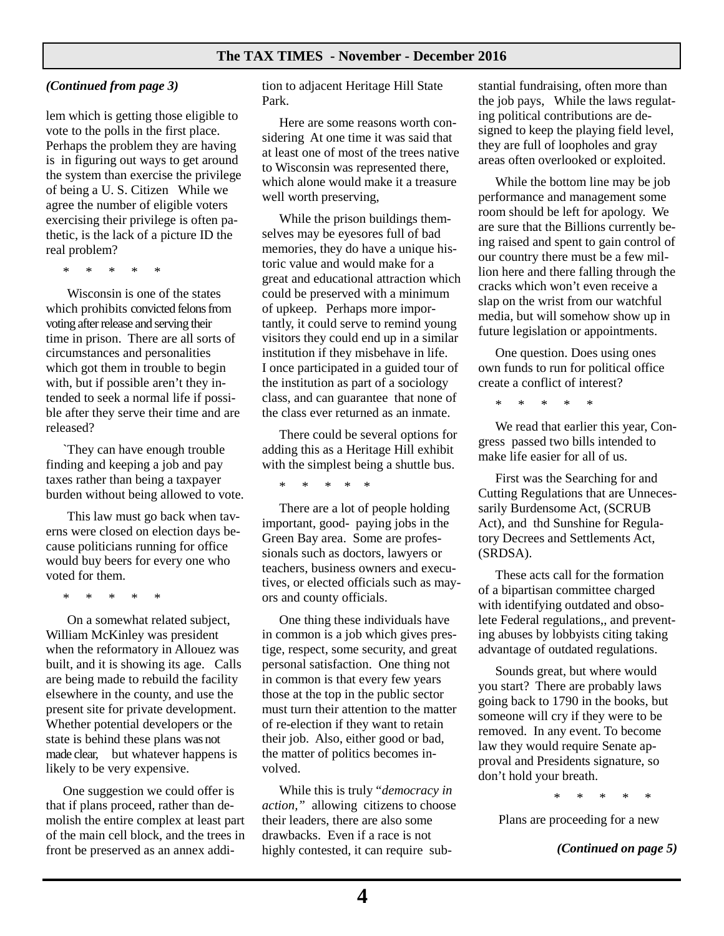#### *(Continued from page 3)*

lem which is getting those eligible to vote to the polls in the first place. Perhaps the problem they are having is in figuring out ways to get around the system than exercise the privilege of being a U. S. Citizen While we agree the number of eligible voters exercising their privilege is often pathetic, is the lack of a picture ID the real problem?

\* \* \* \* \*

 Wisconsin is one of the states which prohibits convicted felons from voting after release and serving their time in prison. There are all sorts of circumstances and personalities which got them in trouble to begin with, but if possible aren't they intended to seek a normal life if possible after they serve their time and are released?

`They can have enough trouble finding and keeping a job and pay taxes rather than being a taxpayer burden without being allowed to vote.

 This law must go back when taverns were closed on election days because politicians running for office would buy beers for every one who voted for them.

\* \* \* \* \*

 On a somewhat related subject, William McKinley was president when the reformatory in Allouez was built, and it is showing its age. Calls are being made to rebuild the facility elsewhere in the county, and use the present site for private development. Whether potential developers or the state is behind these plans was not made clear, but whatever happens is likely to be very expensive.

One suggestion we could offer is that if plans proceed, rather than demolish the entire complex at least part of the main cell block, and the trees in front be preserved as an annex addi-

tion to adjacent Heritage Hill State Park.

Here are some reasons worth considering At one time it was said that at least one of most of the trees native to Wisconsin was represented there, which alone would make it a treasure well worth preserving,

While the prison buildings themselves may be eyesores full of bad memories, they do have a unique historic value and would make for a great and educational attraction which could be preserved with a minimum of upkeep. Perhaps more importantly, it could serve to remind young visitors they could end up in a similar institution if they misbehave in life. I once participated in a guided tour of the institution as part of a sociology class, and can guarantee that none of the class ever returned as an inmate.

There could be several options for adding this as a Heritage Hill exhibit with the simplest being a shuttle bus.

\* \* \* \* \*

There are a lot of people holding important, good- paying jobs in the Green Bay area. Some are professionals such as doctors, lawyers or teachers, business owners and executives, or elected officials such as mayors and county officials.

One thing these individuals have in common is a job which gives prestige, respect, some security, and great personal satisfaction. One thing not in common is that every few years those at the top in the public sector must turn their attention to the matter of re-election if they want to retain their job. Also, either good or bad, the matter of politics becomes involved.

While this is truly "*democracy in action,"* allowing citizens to choose their leaders, there are also some drawbacks. Even if a race is not highly contested, it can require substantial fundraising, often more than the job pays, While the laws regulating political contributions are designed to keep the playing field level, they are full of loopholes and gray areas often overlooked or exploited.

While the bottom line may be job performance and management some room should be left for apology. We are sure that the Billions currently being raised and spent to gain control of our country there must be a few million here and there falling through the cracks which won't even receive a slap on the wrist from our watchful media, but will somehow show up in future legislation or appointments.

One question. Does using ones own funds to run for political office create a conflict of interest?

\* \* \* \* \*

We read that earlier this year, Congress passed two bills intended to make life easier for all of us.

First was the Searching for and Cutting Regulations that are Unnecessarily Burdensome Act, (SCRUB Act), and thd Sunshine for Regulatory Decrees and Settlements Act, (SRDSA).

These acts call for the formation of a bipartisan committee charged with identifying outdated and obsolete Federal regulations,, and preventing abuses by lobbyists citing taking advantage of outdated regulations.

Sounds great, but where would you start? There are probably laws going back to 1790 in the books, but someone will cry if they were to be removed. In any event. To become law they would require Senate approval and Presidents signature, so don't hold your breath.

\* \* \* \* \*

Plans are proceeding for a new

*(Continued on page 5)*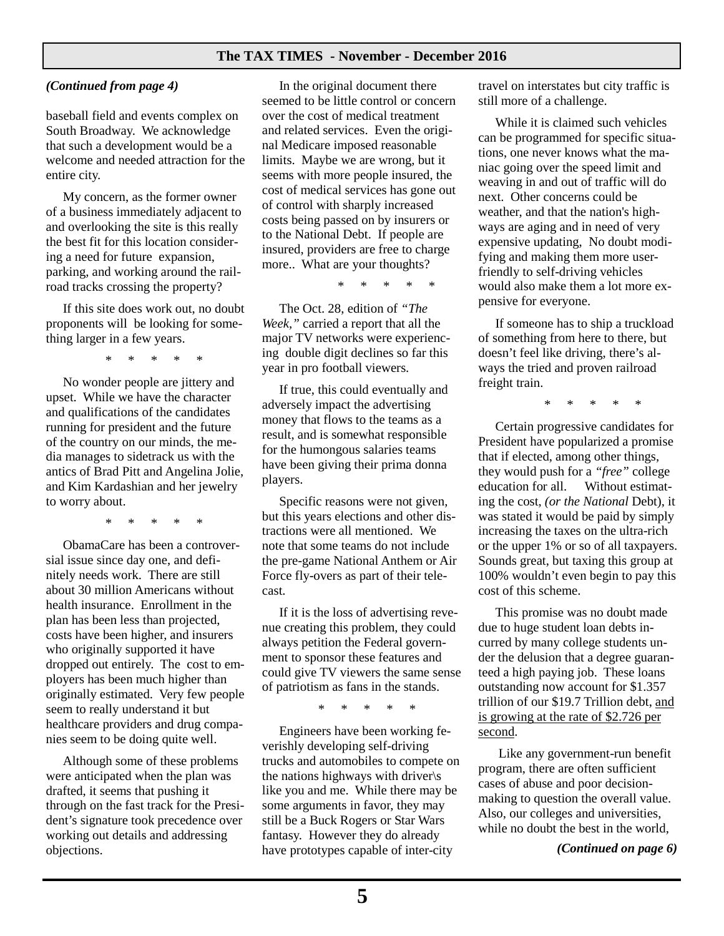#### *(Continued from page 4)*

baseball field and events complex on South Broadway. We acknowledge that such a development would be a welcome and needed attraction for the entire city.

My concern, as the former owner of a business immediately adjacent to and overlooking the site is this really the best fit for this location considering a need for future expansion, parking, and working around the railroad tracks crossing the property?

If this site does work out, no doubt proponents will be looking for something larger in a few years.

\* \* \* \* \*

No wonder people are jittery and upset. While we have the character and qualifications of the candidates running for president and the future of the country on our minds, the media manages to sidetrack us with the antics of Brad Pitt and Angelina Jolie, and Kim Kardashian and her jewelry to worry about.

\* \* \* \* \*

ObamaCare has been a controversial issue since day one, and definitely needs work. There are still about 30 million Americans without health insurance. Enrollment in the plan has been less than projected, costs have been higher, and insurers who originally supported it have dropped out entirely. The cost to employers has been much higher than originally estimated. Very few people seem to really understand it but healthcare providers and drug companies seem to be doing quite well.

Although some of these problems were anticipated when the plan was drafted, it seems that pushing it through on the fast track for the President's signature took precedence over working out details and addressing objections.

In the original document there seemed to be little control or concern over the cost of medical treatment and related services. Even the original Medicare imposed reasonable limits. Maybe we are wrong, but it seems with more people insured, the cost of medical services has gone out of control with sharply increased costs being passed on by insurers or to the National Debt. If people are insured, providers are free to charge more.. What are your thoughts?

\* \* \* \* \*

The Oct. 28, edition of *"The Week,"* carried a report that all the major TV networks were experiencing double digit declines so far this year in pro football viewers.

If true, this could eventually and adversely impact the advertising money that flows to the teams as a result, and is somewhat responsible for the humongous salaries teams have been giving their prima donna players.

Specific reasons were not given, but this years elections and other distractions were all mentioned. We note that some teams do not include the pre-game National Anthem or Air Force fly-overs as part of their telecast.

If it is the loss of advertising revenue creating this problem, they could always petition the Federal government to sponsor these features and could give TV viewers the same sense of patriotism as fans in the stands.

\* \* \* \* \*

Engineers have been working feverishly developing self-driving trucks and automobiles to compete on the nations highways with driver\s like you and me. While there may be some arguments in favor, they may still be a Buck Rogers or Star Wars fantasy. However they do already have prototypes capable of inter-city

travel on interstates but city traffic is still more of a challenge.

While it is claimed such vehicles can be programmed for specific situations, one never knows what the maniac going over the speed limit and weaving in and out of traffic will do next. Other concerns could be weather, and that the nation's highways are aging and in need of very expensive updating, No doubt modifying and making them more userfriendly to self-driving vehicles would also make them a lot more expensive for everyone.

If someone has to ship a truckload of something from here to there, but doesn't feel like driving, there's always the tried and proven railroad freight train.

\* \* \* \* \*

Certain progressive candidates for President have popularized a promise that if elected, among other things, they would push for a *"free"* college education for all. Without estimating the cost, *(or the National* Debt), it was stated it would be paid by simply increasing the taxes on the ultra-rich or the upper 1% or so of all taxpayers. Sounds great, but taxing this group at 100% wouldn't even begin to pay this cost of this scheme.

This promise was no doubt made due to huge student loan debts incurred by many college students under the delusion that a degree guaranteed a high paying job. These loans outstanding now account for \$1.357 trillion of our \$19.7 Trillion debt, and is growing at the rate of \$2.726 per second.

 Like any government-run benefit program, there are often sufficient cases of abuse and poor decisionmaking to question the overall value. Also, our colleges and universities, while no doubt the best in the world,

*(Continued on page 6)*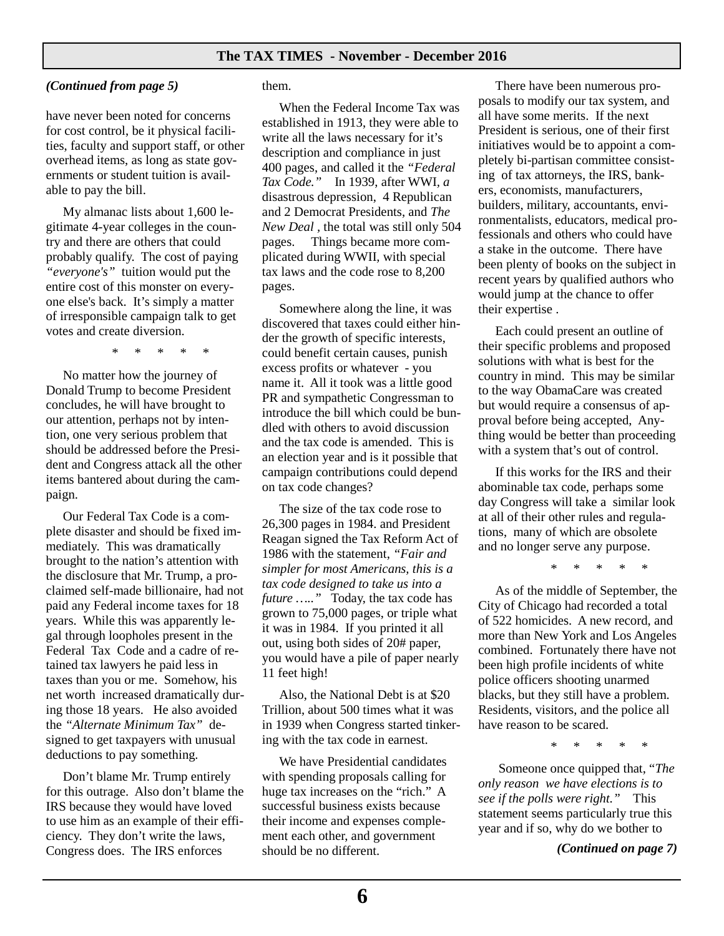#### *(Continued from page 5)*

have never been noted for concerns for cost control, be it physical facilities, faculty and support staff, or other overhead items, as long as state governments or student tuition is available to pay the bill.

My almanac lists about 1,600 legitimate 4-year colleges in the country and there are others that could probably qualify. The cost of paying *"everyone's"* tuition would put the entire cost of this monster on everyone else's back. It's simply a matter of irresponsible campaign talk to get votes and create diversion.

\* \* \* \* \*

No matter how the journey of Donald Trump to become President concludes, he will have brought to our attention, perhaps not by intention, one very serious problem that should be addressed before the President and Congress attack all the other items bantered about during the campaign.

Our Federal Tax Code is a complete disaster and should be fixed immediately. This was dramatically brought to the nation's attention with the disclosure that Mr. Trump, a proclaimed self-made billionaire, had not paid any Federal income taxes for 18 years. While this was apparently legal through loopholes present in the Federal Tax Code and a cadre of retained tax lawyers he paid less in taxes than you or me. Somehow, his net worth increased dramatically during those 18 years. He also avoided the *"Alternate Minimum Tax"* designed to get taxpayers with unusual deductions to pay something.

Don't blame Mr. Trump entirely for this outrage. Also don't blame the IRS because they would have loved to use him as an example of their efficiency. They don't write the laws, Congress does. The IRS enforces

them.

When the Federal Income Tax was established in 1913, they were able to write all the laws necessary for it's description and compliance in just 400 pages, and called it the *"Federal Tax Code."* In 1939, after WWI*, a*  disastrous depression, 4 Republican and 2 Democrat Presidents, and *The New Deal ,* the total was still only 504 pages. Things became more complicated during WWII*,* with special tax laws and the code rose to 8,200 pages.

Somewhere along the line, it was discovered that taxes could either hinder the growth of specific interests, could benefit certain causes, punish excess profits or whatever - you name it. All it took was a little good PR and sympathetic Congressman to introduce the bill which could be bundled with others to avoid discussion and the tax code is amended. This is an election year and is it possible that campaign contributions could depend on tax code changes?

The size of the tax code rose to 26,300 pages in 1984. and President Reagan signed the Tax Reform Act of 1986 with the statement, *"Fair and simpler for most Americans, this is a tax code designed to take us into a future .....*" Today, the tax code has grown to 75,000 pages, or triple what it was in 1984. If you printed it all out, using both sides of 20# paper, you would have a pile of paper nearly 11 feet high!

Also, the National Debt is at \$20 Trillion, about 500 times what it was in 1939 when Congress started tinkering with the tax code in earnest.

We have Presidential candidates with spending proposals calling for huge tax increases on the "rich." A successful business exists because their income and expenses complement each other, and government should be no different.

There have been numerous proposals to modify our tax system, and all have some merits. If the next President is serious, one of their first initiatives would be to appoint a completely bi-partisan committee consisting of tax attorneys, the IRS, bankers, economists, manufacturers, builders, military, accountants, environmentalists, educators, medical professionals and others who could have a stake in the outcome. There have been plenty of books on the subject in recent years by qualified authors who would jump at the chance to offer their expertise .

Each could present an outline of their specific problems and proposed solutions with what is best for the country in mind. This may be similar to the way ObamaCare was created but would require a consensus of approval before being accepted, Anything would be better than proceeding with a system that's out of control.

If this works for the IRS and their abominable tax code, perhaps some day Congress will take a similar look at all of their other rules and regulations, many of which are obsolete and no longer serve any purpose.

\* \* \* \* \*

As of the middle of September, the City of Chicago had recorded a total of 522 homicides. A new record, and more than New York and Los Angeles combined. Fortunately there have not been high profile incidents of white police officers shooting unarmed blacks, but they still have a problem. Residents, visitors, and the police all have reason to be scared.

\* \* \* \* \*

 Someone once quipped that, "*The only reason we have elections is to see if the polls were right."* This statement seems particularly true this year and if so, why do we bother to

*(Continued on page 7)*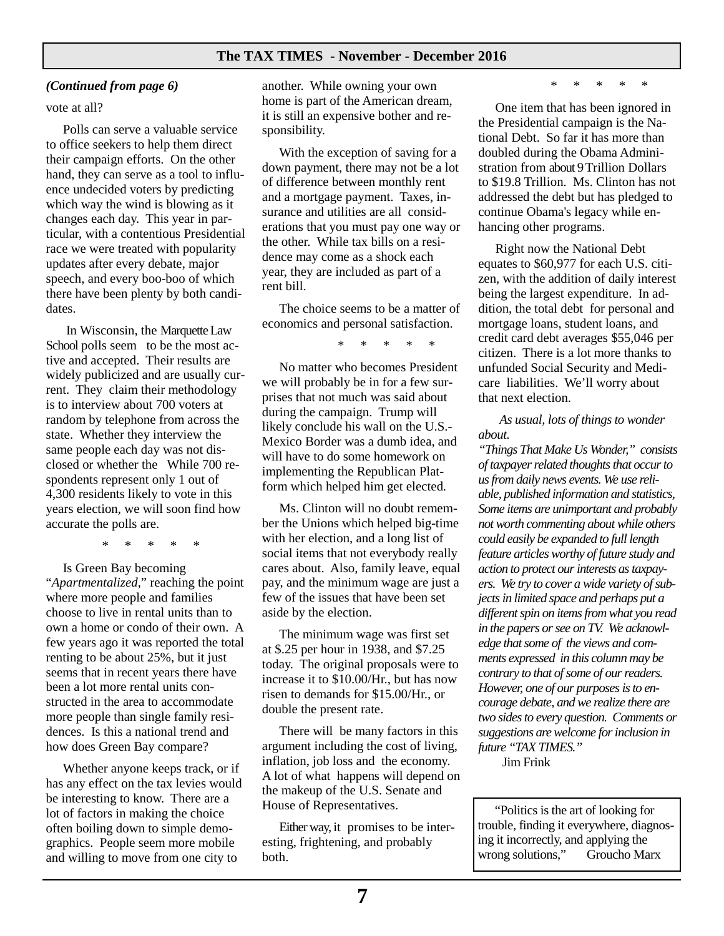#### *(Continued from page 6)*

#### vote at all?

Polls can serve a valuable service to office seekers to help them direct their campaign efforts. On the other hand, they can serve as a tool to influence undecided voters by predicting which way the wind is blowing as it changes each day. This year in particular, with a contentious Presidential race we were treated with popularity updates after every debate, major speech, and every boo-boo of which there have been plenty by both candidates.

 In Wisconsin, the Marquette Law School polls seem to be the most active and accepted. Their results are widely publicized and are usually current. They claim their methodology is to interview about 700 voters at random by telephone from across the state. Whether they interview the same people each day was not disclosed or whether the While 700 respondents represent only 1 out of 4,300 residents likely to vote in this years election, we will soon find how accurate the polls are.

\* \* \* \* \*

Is Green Bay becoming "*Apartmentalized*," reaching the point where more people and families choose to live in rental units than to own a home or condo of their own. A few years ago it was reported the total renting to be about 25%, but it just seems that in recent years there have been a lot more rental units constructed in the area to accommodate more people than single family residences. Is this a national trend and how does Green Bay compare?

Whether anyone keeps track, or if has any effect on the tax levies would be interesting to know. There are a lot of factors in making the choice often boiling down to simple demographics. People seem more mobile and willing to move from one city to

another. While owning your own home is part of the American dream, it is still an expensive bother and responsibility.

With the exception of saving for a down payment, there may not be a lot of difference between monthly rent and a mortgage payment. Taxes, insurance and utilities are all considerations that you must pay one way or the other. While tax bills on a residence may come as a shock each year, they are included as part of a rent bill.

The choice seems to be a matter of economics and personal satisfaction.

\* \* \* \* \*

No matter who becomes President we will probably be in for a few surprises that not much was said about during the campaign. Trump will likely conclude his wall on the U.S.- Mexico Border was a dumb idea, and will have to do some homework on implementing the Republican Platform which helped him get elected.

Ms. Clinton will no doubt remember the Unions which helped big-time with her election, and a long list of social items that not everybody really cares about. Also, family leave, equal pay, and the minimum wage are just a few of the issues that have been set aside by the election.

The minimum wage was first set at \$.25 per hour in 1938, and \$7.25 today. The original proposals were to increase it to \$10.00/Hr., but has now risen to demands for \$15.00/Hr., or double the present rate.

There will be many factors in this argument including the cost of living, inflation, job loss and the economy. A lot of what happens will depend on the makeup of the U.S. Senate and House of Representatives.

Either way, it promises to be interesting, frightening, and probably both.

\* \* \* \* \*

One item that has been ignored in the Presidential campaign is the National Debt. So far it has more than doubled during the Obama Administration from about 9 Trillion Dollars to \$19.8 Trillion. Ms. Clinton has not addressed the debt but has pledged to continue Obama's legacy while enhancing other programs.

Right now the National Debt equates to \$60,977 for each U.S. citizen, with the addition of daily interest being the largest expenditure. In addition, the total debt for personal and mortgage loans, student loans, and credit card debt averages \$55,046 per citizen. There is a lot more thanks to unfunded Social Security and Medicare liabilities. We'll worry about that next election.

 *As usual, lots of things to wonder about.* 

*"Things That Make Us Wonder," consists of taxpayer related thoughts that occur to us from daily news events. We use reliable, published information and statistics, Some items are unimportant and probably not worth commenting about while others could easily be expanded to full length feature articles worthy of future study and action to protect our interests as taxpayers. We try to cover a wide variety of subjects in limited space and perhaps put a different spin on items from what you read in the papers or see on TV. We acknowledge that some of the views and comments expressed in this column may be contrary to that of some of our readers. However, one of our purposes is to encourage debate, and we realize there are two sides to every question. Comments or suggestions are welcome for inclusion in future "TAX TIMES."* 

Jim Frink

"Politics is the art of looking for trouble, finding it everywhere, diagnosing it incorrectly, and applying the wrong solutions," Groucho Marx